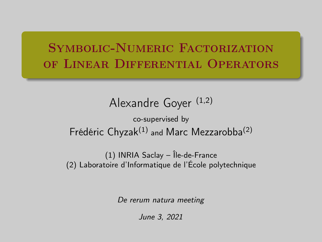# <span id="page-0-0"></span>SYMBOLIC-NUMERIC FACTORIZATION of Linear Differential Operators

```
Alexandre Goyer (1,2)
                 co-supervised by
Frédéric Chyzak^{(1)} and Marc Mezzarobba<sup>(2)</sup>
```
(1) INRIA Saclay – Île-de-France (2) Laboratoire d'Informatique de l'École polytechnique

De rerum natura meeting

June 3, 2021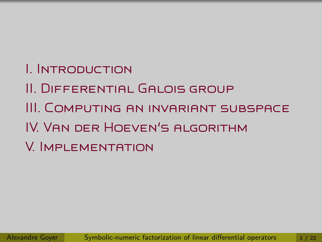- I. Introduction
- II. Differential Galois group
- III. Computing an invariant subspace
- IV. Van der Hoeven's algorithm
- V. Implementation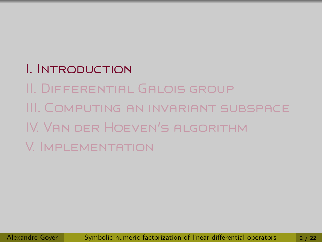# I. Introduction

II. Differential Galois group III. Computing an invariant subspace IV. Van der Hoeven's algorithm V. Implementation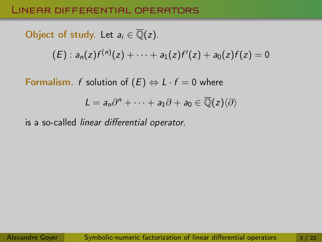### Linear differential operators

Object of study. Let 
$$
a_i \in \overline{\mathbb{Q}}(z)
$$
.

\n(E):  $a_n(z)f^{(n)}(z) + \cdots + a_1(z)f'(z) + a_0(z)f(z) = 0$ 

Formalism. f solution of  $(E) \Leftrightarrow L \cdot f = 0$  where

$$
L=a_n\partial^n+\cdots+a_1\partial+a_0\in\overline{\mathbb{Q}}(z)\langle\partial\rangle
$$

is a so-called linear differential operator.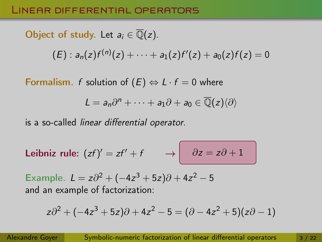### Linear differential operators

Object of study. Let 
$$
a_i \in \overline{\mathbb{Q}}(z)
$$
.

\n(E):  $a_n(z)f^{(n)}(z) + \cdots + a_1(z)f'(z) + a_0(z)f(z) = 0$ 

Formalism. f solution of  $(E) \Leftrightarrow L \cdot f = 0$  where

$$
L=a_n\partial^n+\cdots+a_1\partial+a_0\in\overline{\mathbb{Q}}(z)\langle\partial\rangle
$$

is a so-called linear differential operator.

Leibniz rule: 
$$
(zf)' = zf' + f \rightarrow \partial z = z\partial + 1
$$

Example.  $L = z\partial^2 + (-4z^3 + 5z)\partial + 4z^2 - 5$ and an example of factorization:

$$
z\partial^2 + (-4z^3 + 5z)\partial + 4z^2 - 5 = (\partial - 4z^2 + 5)(z\partial - 1)
$$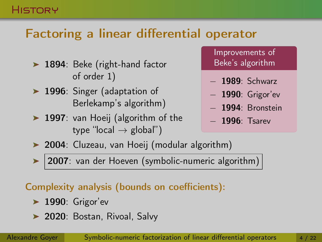### **HISTORY**

# Factoring a linear differential operator

- ▶ 1894: Beke (right-hand factor of order 1)
- ▶ 1996: Singer (adaptation of Berlekamp's algorithm)
- ▶ 1997: van Hoeij (algorithm of the type "local  $\rightarrow$  global")

Improvements of Beke's algorithm

- − 1989: Schwarz
- − 1990: Grigor'ev
- − 1994: Bronstein
- − 1996: Tsarev
- ▶ 2004: Cluzeau, van Hoeij (modular algorithm)

2007: van der Hoeven (symbolic-numeric algorithm)

### Complexity analysis (bounds on coefficients):

- $\blacktriangleright$  1990: Grigor'ev
- > 2020: Bostan, Rivoal, Salvy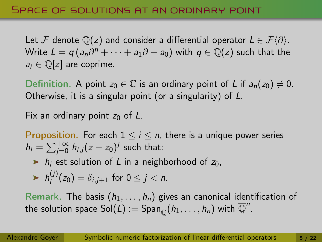Let F denote  $\mathbb{Q}(z)$  and consider a differential operator  $L \in \mathcal{F}(\partial)$ . Write  $L=q\left(a_n\partial^n+\cdots+a_1\partial+a_0\right)$  with  $q\in\overline{\mathbb Q}(z)$  such that the  $a_i \in \overline{\mathbb{Q}}[z]$  are coprime.

Definition. A point  $z_0 \in \mathbb{C}$  is an ordinary point of L if  $a_n(z_0) \neq 0$ . Otherwise, it is a singular point (or a singularity) of L.

Fix an ordinary point  $z_0$  of L.

**Proposition.** For each  $1 \le i \le n$ , there is a unique power series  $h_i = \sum_{j=0}^{+\infty} h_{i,j}(z-z_0)^j$  such that:

 $\triangleright$  h<sub>i</sub> est solution of L in a neighborhood of z<sub>0</sub>,

$$
\blacktriangleright h_i^{(j)}(z_0)=\delta_{i,j+1} \text{ for } 0\leq j < n.
$$

Remark. The basis  $(h_1, \ldots, h_n)$  gives an canonical identification of the solution space  $\text{Sol}(L) := \text{Span}_{\overline{\mathbb{Q}}}(h_1,\ldots,h_n)$  with  $\overline{\mathbb{Q}}^n$ .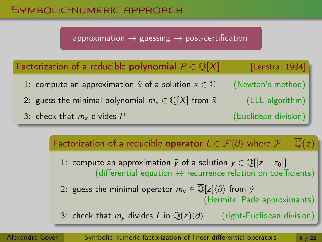### Symbolic-numeric approach

approximation  $\rightarrow$  guessing  $\rightarrow$  post-certification

| Factorization of a reducible <b>polynomial</b> $P \in \mathbb{Q}[X]$     | [Lenstra, 1984]      |
|--------------------------------------------------------------------------|----------------------|
| 1: compute an approximation $\tilde{x}$ of a solution $x \in \mathbb{C}$ | (Newton's method)    |
| 2: guess the minimal polynomial $m_x \in \mathbb{Q}[X]$ from $\tilde{x}$ | (LLL algorithm)      |
| 3: check that $m_x$ divides P                                            | (Euclidean division) |

Factorization of a reducible **operator**  $L \in \mathcal{F}(\partial)$  where  $\mathcal{F} = \mathbb{Q}(z)$ 

1: compute an approximation  $\tilde{y}$  of a solution  $y \in \overline{\mathbb{Q}}[[z-z_0]]$ (differential equation  $\leftrightarrow$  recurrence relation on coefficients)

2: guess the minimal operator  $m_v \in \overline{\mathbb{Q}}[z]\langle \partial \rangle$  from  $\tilde{y}$ (Hermite–Padé approximants)

3: check that  $m_{\nu}$  divides L in  $\overline{\mathbb{Q}}(z)\langle\partial\rangle$  (right-Euclidean division)

Alexandre Goyer [Symbolic-numeric factorization of linear differential operators](#page-0-0) 6/22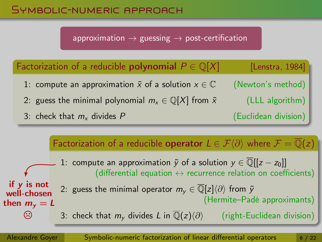### Symbolic-numeric approach

approximation  $\rightarrow$  guessing  $\rightarrow$  post-certification

| Factorization of a reducible polynomial $P \in \mathbb{Q}[X]$            | [Lenstra, 1984]      |
|--------------------------------------------------------------------------|----------------------|
| 1: compute an approximation $\tilde{x}$ of a solution $x \in \mathbb{C}$ | (Newton's method)    |
| 2: guess the minimal polynomial $m_x \in \mathbb{Q}[X]$ from $\tilde{x}$ | (LLL algorithm)      |
| 3: check that $m_x$ divides P                                            | (Euclidean division) |

Factorization of a reducible **operator**  $L \in \mathcal{F}(\partial)$  where  $\mathcal{F} = \mathbb{Q}(z)$ 1: compute an approximation  $\tilde{y}$  of a solution  $y \in \mathbb{Q}[[z-z_0]]$ (differential equation  $\leftrightarrow$  recurrence relation on coefficients) if y is not 2: guess the minimal operator  $m_v \in \overline{\mathbb{Q}}[z]\langle \partial \rangle$  from  $\tilde{y}$ well-chosen (Hermite–Padé approximants) then  $m_v = L$  $\odot$ 3: check that  $m_{\nu}$  divides L in  $\overline{\mathbb{Q}}(z)\langle\partial\rangle$  (right-Euclidean division)

Alexandre Goyer [Symbolic-numeric factorization of linear differential operators](#page-0-0) 6/22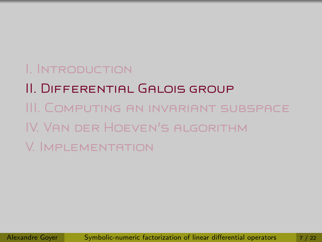# I. Introduction

II. Differential Galois group III. Computing an invariant subspace IV. Van der Hoeven's algorithm V. Implementation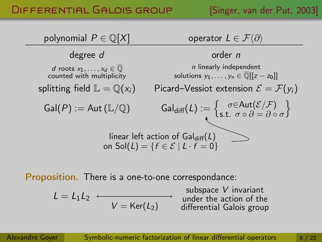### DIFFERENTIAL GALOIS GROUP [Singer, van der Put, 2003]



Proposition. There is a one-to-one correspondance:

$$
L = L_1 L_2 \longleftrightarrow V = \text{Ker}(L_2)
$$

subspace V invariant under the action of the differential Galois group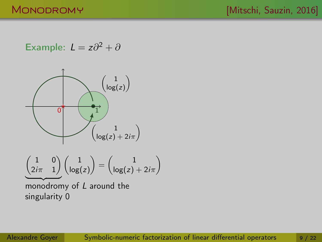Example: 
$$
L = z\partial^2 + \partial
$$

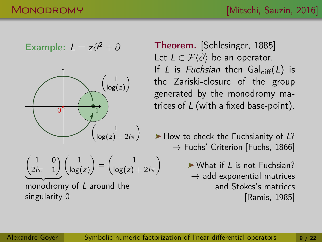Example: 
$$
L = z\partial^2 + \partial
$$



$$
\underbrace{\begin{pmatrix} 1 & 0 \\ 2i\pi & 1 \end{pmatrix}}_{\textstyle \left(\log(z)\right)} \begin{pmatrix} 1 \\ \log(z) \end{pmatrix} = \begin{pmatrix} 1 \\ \log(z) + 2i\pi \end{pmatrix}
$$

monodromy of L around the singularity 0

Theorem. [Schlesinger, 1885] Let  $L \in \mathcal{F}\langle \partial \rangle$  be an operator. If L is Fuchsian then  $Gal_{diff}(L)$  is the Zariski-closure of the group generated by the monodromy matrices of L (with a fixed base-point).

 $\blacktriangleright$  How to check the Fuchsianity of L?  $\rightarrow$  Fuchs' Criterion [Fuchs, 1866]

> $\triangleright$  What if L is not Fuchsian?  $\rightarrow$  add exponential matrices and Stokes's matrices [Ramis, 1985]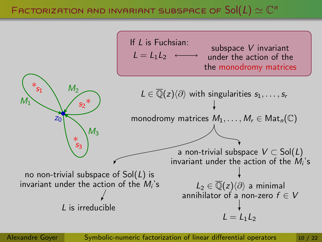### Factorization and invariant subspace of  $\mathsf{Sol}(L) \simeq \mathbb{C}^n$



Alexandre Goyer [Symbolic-numeric factorization of linear differential operators](#page-0-0) 10 / 22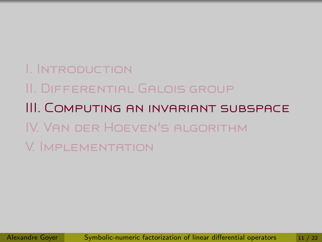I. Introduction II. Differential Galois group III. Computing an invariant subspace IV. Van der Hoeven's algorithm V. Implementation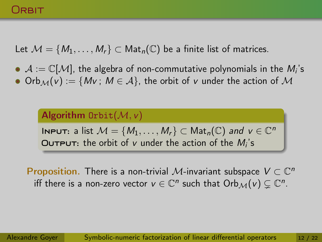### Orbit

Let  $M = \{M_1, \ldots, M_r\} \subset \text{Mat}_n(\mathbb{C})$  be a finite list of matrices.

 $\mathcal{A}:=\mathbb{C}[\mathcal{M}]$ , the algebra of non-commutative polynomials in the  $M_{i}$ 's Orb $M(v) := \{Mv : M \in \mathcal{A}\}\$ , the orbit of v under the action of M

Algorithm Orbit $(\mathcal{M}, \nu)$ **INPUT:** a list  $M = \{M_1, \ldots, M_r\} \subset \mathsf{Mat}_n(\mathbb{C})$  and  $v \in \mathbb{C}^n$  $\overline{\text{Output}}$ : the orbit of v under the action of the  $M_i$ 's

Proposition. There is a non-trivial M-invariant subspace  $V \subset \mathbb{C}^n$ iff there is a non-zero vector  $v \in \mathbb{C}^n$  such that  $\mathrm{Orb}_\mathcal{M}(v) \subsetneq \mathbb{C}^n$ .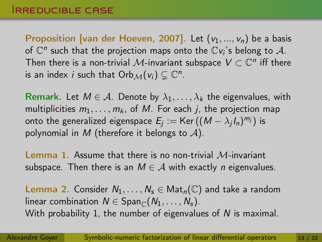Proposition [van der Hoeven, 2007]. Let  $(v_1, ..., v_n)$  be a basis of  $\mathbb{C}^n$  such that the projection maps onto the  $\mathbb{C}v_i$ 's belong to  $\mathcal{A}.$ Then there is a non-trivial  $\mathcal M$ -invariant subspace  $V\subset\mathbb C^n$  iff there is an index *i* such that  $Orb_{\mathcal{M}}(v_i) \subsetneq \mathbb{C}^n$ .

Remark. Let  $M \in \mathcal{A}$ . Denote by  $\lambda_1, \ldots, \lambda_k$  the eigenvalues, with multiplicities  $m_1, \ldots, m_k$ , of M. For each *i*, the projection map onto the generalized eigenspace  $\mathcal{E}_j := \mathsf{Ker}\,((M - \lambda_j I_n)^{m_j})$  is polynomial in M (therefore it belongs to  $A$ ).

**Lemma 1.** Assume that there is no non-trivial  $M$ -invariant subspace. Then there is an  $M \in \mathcal{A}$  with exactly *n* eigenvalues.

**Lemma 2.** Consider  $N_1, \ldots, N_s \in \mathsf{Mat}_n(\mathbb{C})$  and take a random linear combination  $N \in \text{Span}_{\mathbb{C}}(N_1, \ldots, N_s)$ . With probability 1, the number of eigenvalues of N is maximal.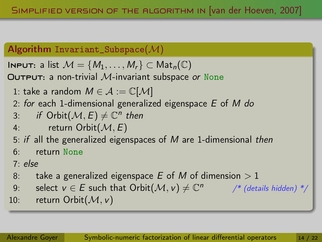### Algorithm Invariant\_Subspace( $M$ )

**INPUT:** a list  $M = \{M_1, \ldots, M_r\} \subset \text{Mat}_n(\mathbb{C})$ 

**OUTPUT:** a non-trivial M-invariant subspace or None

1: take a random  $M \in \mathcal{A} := \mathbb{C}[\mathcal{M}]$ 

2: for each 1-dimensional generalized eigenspace  $E$  of M do

3: if 
$$
\text{Orbit}(\mathcal{M}, E) \neq \mathbb{C}^n
$$
 then

4: return Orbit
$$
(M, E)
$$

5: if all the generalized eigenspaces of  $M$  are 1-dimensional then

6: return None

### 7: else

- 8: take a generalized eigenspace E of M of dimension  $> 1$
- 9: select  $v \in E$  such that  $\text{Orbit}(\mathcal{M}, v) \neq \mathbb{C}^n$  /\* (details hidden) \*/
- 10: return Orbit $(M, v)$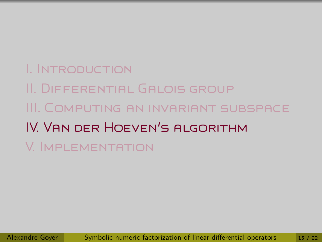# I. Introduction II. Differential Galois group III. Computing an invariant subspace IV. Van der Hoeven's algorithm V. Implementation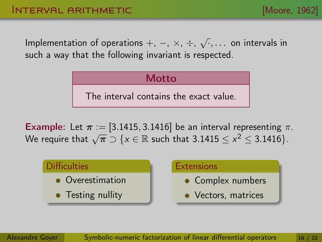Implementation of operations  $+$ ,  $-$ ,  $\times$ ,  $\div$ ,  $\sqrt{\cdot}, \ldots$  on intervals in such a way that the following invariant is respected.

> **Motto** The interval contains the exact value.

**Example:** Let  $\pi$  := [3.1415, 3.1416] be an interval representing  $\pi$ . **Example:** Let  $n := [3.1415, 3.1416]$  be an interval representing  $n$ <br>We require that  $\sqrt{\pi} \supset \{x \in \mathbb{R} \text{ such that } 3.1415 \le x^2 \le 3.1416\}.$ 

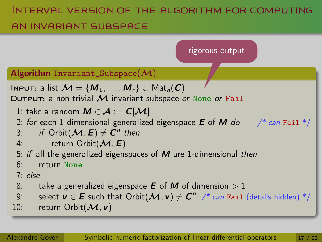### Interval version of the algorithm for computing

### an invariant subspace

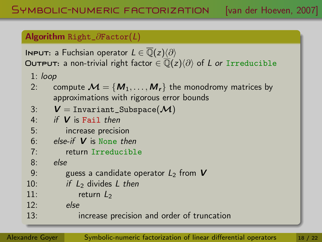### Algorithm Right\_∂Factor(L)

**INPUT:** a Fuchsian operator  $L \in \overline{\mathbb{Q}}(z)\langle\partial\rangle$ **OUTPUT:** a non-trivial right factor  $\in \overline{Q}(z)\langle\partial\rangle$  of L or Irreducible

- 1: loop
- 2: compute  $\mathcal{M} = \{M_1, \ldots, M_r\}$  the monodromy matrices by approximations with rigorous error bounds

$$
3: \hspace{0.5cm} \bm{\mathsf{V}} = \texttt{Invariant\_Subspace}(\bm{\mathcal{M}})
$$

4: if 
$$
V
$$
 is **Fail** then

5: increase precision

6: else-if 
$$
V
$$
 is None then

```
7: return Irreducible
```
8: else

- 9: guess a candidate operator  $L_2$  from  $V$
- 10: if  $L_2$  divides L then
- 11:  $return L<sub>2</sub>$
- 12: else
- 13: increase precision and order of truncation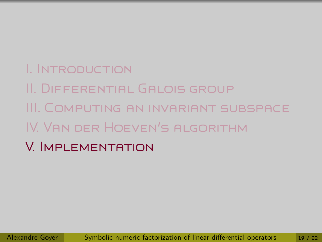# I. Introduction

- II. Differential Galois group
- III. Computing an invariant subspace
- IV. Van der Hoeven's algorithm
- V. Implementation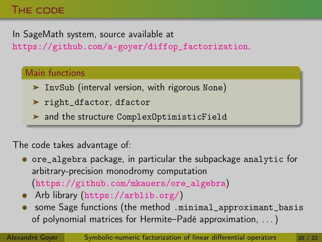### The code

In SageMath system, source available at

[https://github.com/a-goyer/diffop\\_factorization](https://github.com/a-goyer/diffop_factorization).

### Main functions

- InvSub (interval version, with rigorous None)
- ▶ right\_dfactor, dfactor

and the structure ComplexOptimisticField

### The code takes advantage of:

- ore\_algebra package, in particular the subpackage analytic for arbitrary-precision monodromy computation ([https://github.com/mkauers/ore\\_algebra](https://github.com/mkauers/ore_algebra))
- Arb library (<https://arblib.org/>)
- some Sage functions (the method .minimal\_approximant\_basis of polynomial matrices for Hermite–Padé approximation, . . . )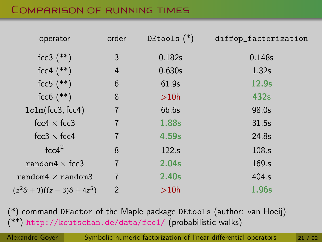### Comparison of running times

| operator                                    | order          | DEtools $(*)$ | diffop_factorization |
|---------------------------------------------|----------------|---------------|----------------------|
| $fcc3$ (**)                                 | 3              | 0.182s        | 0.148s               |
| $fcc4$ (**)                                 | 4              | 0.630s        | 1.32 <sub>s</sub>    |
| $fcc5$ $(**)$                               | 6              | 61.9s         | 12.9 <sub>s</sub>    |
| $fcc6$ $(**)$                               | 8              | >10h          | 432s                 |
| lclm(fcc3, fcc4)                            | $\overline{7}$ | 66.6s         | 98.0s                |
| fcc4 $\times$ fcc3                          |                | 1.88s         | 31.5s                |
| fcc3 $\times$ fcc4                          |                | 4.59s         | 24.8s                |
| $fcc4^2$                                    | 8              | 122.s         | 108.s                |
| random $4 \times$ fcc3                      | $\overline{7}$ | 2.04s         | 169.s                |
| random $4 \times$ random $3$                | 7              | 2.40s         | 404.s                |
| $(z^2\partial + 3)((z - 3)\partial + 4z^5)$ | $\overline{2}$ | >10h          | 1.96s                |

(\*) command DFactor of the Maple package DEtools (author: van Hoeij) (\*\*) <http://koutschan.de/data/fcc1/> (probabilistic walks)

Alexandre Goyer [Symbolic-numeric factorization of linear differential operators](#page-0-0) 21 / 22